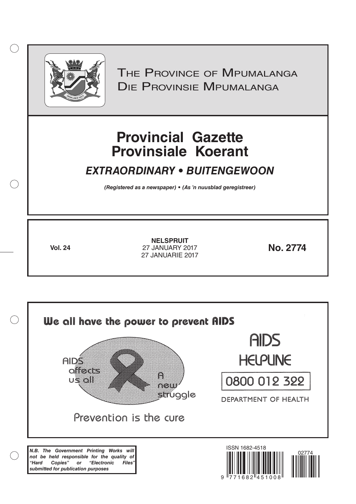

 $( )$ 

THE PROVINCE OF MPUMALANGA Die Provinsie Mpumalanga

# **Provincial Gazette Provinsiale Koerant**

# *EXTRAORDINARY • BUITENGEWOON*

*(Registered as a newspaper) • (As 'n nuusblad geregistreer)*

**Vol. 24 No. 2774** 27 JANUARY 2017 **NELSPRUIT** 27 JANUARIE 2017

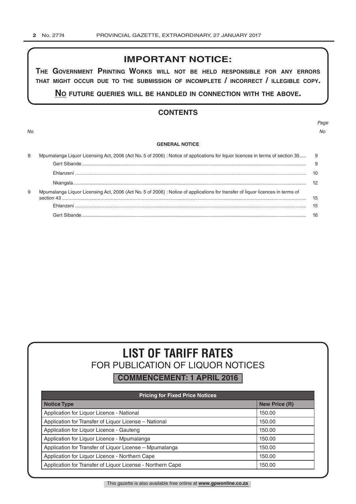# **IMPORTANT NOTICE:**

**The GovernmenT PrinTinG Works Will noT be held resPonsible for any errors ThaT miGhT occur due To The submission of incomPleTe / incorrecT / illeGible coPy.**

**no fuTure queries Will be handled in connecTion WiTh The above.**

# **CONTENTS**

*Page No No*

#### **GENERAL NOTICE**

| 8 | Mpumalanga Liquor Licensing Act, 2006 (Act No. 5 of 2006) : Notice of applications for liquor licences in terms of section 35 9 |    |  |  |
|---|---------------------------------------------------------------------------------------------------------------------------------|----|--|--|
|   |                                                                                                                                 | -9 |  |  |
|   |                                                                                                                                 |    |  |  |
|   |                                                                                                                                 |    |  |  |
| 9 | Mpumalanga Liquor Licensing Act, 2006 (Act No. 5 of 2006) : Notice of applications for transfer of liquor licences in terms of  |    |  |  |
|   |                                                                                                                                 | 15 |  |  |
|   | Gert Sibande                                                                                                                    | 16 |  |  |

# **LIST OF TARIFF RATES** FOR PUBLICATION OF LIQUOR NOTICES

**COMMENCEMENT: 1 APRIL 2016**

| <b>Pricing for Fixed Price Notices</b>                     |                      |  |  |  |  |
|------------------------------------------------------------|----------------------|--|--|--|--|
| <b>Notice Type</b>                                         | <b>New Price (R)</b> |  |  |  |  |
| Application for Liquor Licence - National                  | 150.00               |  |  |  |  |
| Application for Transfer of Liquor License - National      | 150.00               |  |  |  |  |
| Application for Liquor Licence - Gauteng                   | 150.00               |  |  |  |  |
| Application for Liquor Licence - Mpumalanga                | 150.00               |  |  |  |  |
| Application for Transfer of Liquor License - Mpumalanga    | 150.00               |  |  |  |  |
| Application for Liquor Licence - Northern Cape             | 150.00               |  |  |  |  |
| Application for Transfer of Liquor License - Northern Cape | 150.00               |  |  |  |  |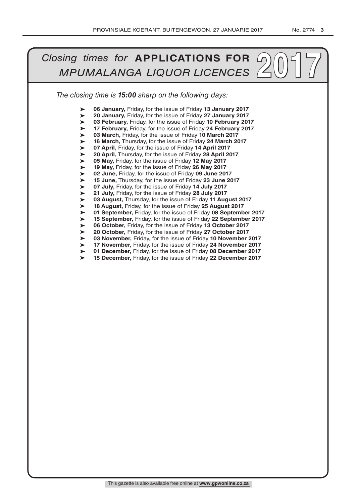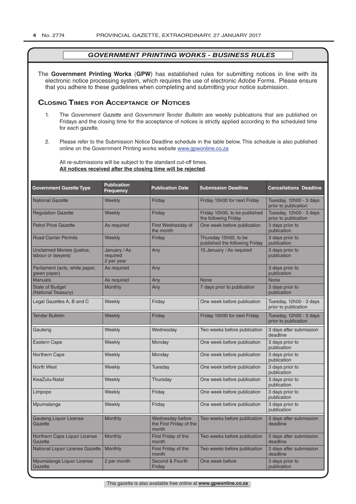The **Government Printing Works** (**GPW**) has established rules for submitting notices in line with its electronic notice processing system, which requires the use of electronic *Adobe* Forms. Please ensure that you adhere to these guidelines when completing and submitting your notice submission.

# **Closing Times for ACCepTAnCe of noTiCes**

- 1. The *Government Gazette* and *Government Tender Bulletin* are weekly publications that are published on Fridays and the closing time for the acceptance of notices is strictly applied according to the scheduled time for each gazette.
- 2. Please refer to the Submission Notice Deadline schedule in the table below. This schedule is also published online on the Government Printing works website www.gpwonline.co.za

All re-submissions will be subject to the standard cut-off times. **All notices received after the closing time will be rejected**.

| <b>Government Gazette Type</b>                          | <b>Publication</b><br><b>Frequency</b> | <b>Publication Date</b>                              | <b>Submission Deadline</b>                              | <b>Cancellations Deadline</b>                   |
|---------------------------------------------------------|----------------------------------------|------------------------------------------------------|---------------------------------------------------------|-------------------------------------------------|
| <b>National Gazette</b>                                 | Weekly                                 | Friday                                               | Friday 15h00 for next Friday                            | Tuesday, 12h00 - 3 days<br>prior to publication |
| <b>Regulation Gazette</b>                               | Weekly                                 | Friday                                               | Friday 15h00, to be published<br>the following Friday   | Tuesday, 12h00 - 3 days<br>prior to publication |
| <b>Petrol Price Gazette</b>                             | As required                            | First Wednesday of<br>the month                      | One week before publication                             | 3 days prior to<br>publication                  |
| <b>Road Carrier Permits</b>                             | Weekly                                 | Friday                                               | Thursday 15h00, to be<br>published the following Friday | 3 days prior to<br>publication                  |
| <b>Unclaimed Monies (justice,</b><br>labour or lawyers) | January / As<br>required<br>2 per year | Any                                                  | 15 January / As required                                | 3 days prior to<br>publication                  |
| Parliament (acts, white paper,<br>green paper)          | As required                            | Any                                                  |                                                         | 3 days prior to<br>publication                  |
| <b>Manuals</b>                                          | As required                            | Any                                                  | <b>None</b>                                             | <b>None</b>                                     |
| <b>State of Budget</b><br>(National Treasury)           | <b>Monthly</b>                         | Any                                                  | 7 days prior to publication                             | 3 days prior to<br>publication                  |
| Legal Gazettes A, B and C                               | Weekly                                 | Friday                                               | One week before publication                             | Tuesday, 12h00 - 3 days<br>prior to publication |
| <b>Tender Bulletin</b>                                  | Weekly                                 | Friday                                               | Friday 15h00 for next Friday                            | Tuesday, 12h00 - 3 days<br>prior to publication |
| Gauteng                                                 | Weekly                                 | Wednesday                                            | Two weeks before publication                            | 3 days after submission<br>deadline             |
| <b>Eastern Cape</b>                                     | Weekly                                 | Monday                                               | One week before publication                             | 3 days prior to<br>publication                  |
| <b>Northern Cape</b>                                    | Weekly                                 | Monday                                               | One week before publication                             | 3 days prior to<br>publication                  |
| <b>North West</b>                                       | Weekly                                 | Tuesday                                              | One week before publication                             | 3 days prior to<br>publication                  |
| KwaZulu-Natal                                           | Weekly                                 | Thursday                                             | One week before publication                             | 3 days prior to<br>publication                  |
| Limpopo                                                 | Weekly                                 | Friday                                               | One week before publication                             | 3 days prior to<br>publication                  |
| Mpumalanga                                              | Weekly                                 | Friday                                               | One week before publication                             | 3 days prior to<br>publication                  |
| <b>Gauteng Liquor License</b><br>Gazette                | Monthly                                | Wednesday before<br>the First Friday of the<br>month | Two weeks before publication                            | 3 days after submission<br>deadline             |
| Northern Cape Liquor License<br>Gazette                 | Monthly                                | First Friday of the<br>month                         | Two weeks before publication                            | 3 days after submission<br>deadline             |
| National Liquor License Gazette                         | Monthly                                | First Friday of the<br>month                         | Two weeks before publication                            | 3 days after submission<br>deadline             |
| Mpumalanga Liquor License<br>Gazette                    | 2 per month                            | Second & Fourth<br>Friday                            | One week before                                         | 3 days prior to<br>publication                  |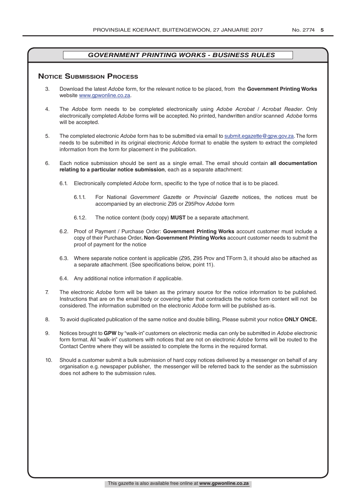### **NOTICE SUBMISSION PROCESS**

- 3. Download the latest *Adobe* form, for the relevant notice to be placed, from the **Government Printing Works** website www.gpwonline.co.za.
- 4. The *Adobe* form needs to be completed electronically using *Adobe Acrobat* / *Acrobat Reader*. Only electronically completed *Adobe* forms will be accepted. No printed, handwritten and/or scanned *Adobe* forms will be accepted.
- 5. The completed electronic *Adobe* form has to be submitted via email to submit.egazette@gpw.gov.za. The form needs to be submitted in its original electronic *Adobe* format to enable the system to extract the completed information from the form for placement in the publication.
- 6. Each notice submission should be sent as a single email. The email should contain **all documentation relating to a particular notice submission**, each as a separate attachment:
	- 6.1. Electronically completed *Adobe* form, specific to the type of notice that is to be placed.
		- 6.1.1. For National *Government Gazette* or *Provincial Gazette* notices, the notices must be accompanied by an electronic Z95 or Z95Prov *Adobe* form
		- 6.1.2. The notice content (body copy) **MUST** be a separate attachment.
	- 6.2. Proof of Payment / Purchase Order: **Government Printing Works** account customer must include a copy of their Purchase Order*.* **Non**-**Government Printing Works** account customer needs to submit the proof of payment for the notice
	- 6.3. Where separate notice content is applicable (Z95, Z95 Prov and TForm 3, it should also be attached as a separate attachment. (See specifications below, point 11).
	- 6.4. Any additional notice information if applicable.
- 7. The electronic *Adobe* form will be taken as the primary source for the notice information to be published. Instructions that are on the email body or covering letter that contradicts the notice form content will not be considered. The information submitted on the electronic *Adobe* form will be published as-is.
- 8. To avoid duplicated publication of the same notice and double billing, Please submit your notice **ONLY ONCE.**
- 9. Notices brought to **GPW** by "walk-in" customers on electronic media can only be submitted in *Adobe* electronic form format. All "walk-in" customers with notices that are not on electronic *Adobe* forms will be routed to the Contact Centre where they will be assisted to complete the forms in the required format.
- 10. Should a customer submit a bulk submission of hard copy notices delivered by a messenger on behalf of any organisation e.g. newspaper publisher, the messenger will be referred back to the sender as the submission does not adhere to the submission rules.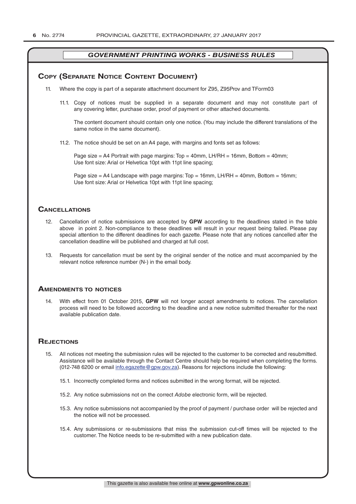# **COPY (SEPARATE NOTICE CONTENT DOCUMENT)**

- 11. Where the copy is part of a separate attachment document for Z95, Z95Prov and TForm03
	- 11.1. Copy of notices must be supplied in a separate document and may not constitute part of any covering letter, purchase order, proof of payment or other attached documents.

The content document should contain only one notice. (You may include the different translations of the same notice in the same document).

11.2. The notice should be set on an A4 page, with margins and fonts set as follows:

Page size  $=$  A4 Portrait with page margins: Top  $=$  40mm, LH/RH  $=$  16mm, Bottom  $=$  40mm; Use font size: Arial or Helvetica 10pt with 11pt line spacing;

Page size = A4 Landscape with page margins:  $Top = 16$ mm, LH/RH = 40mm, Bottom = 16mm; Use font size: Arial or Helvetica 10pt with 11pt line spacing;

## **CAnCellATions**

- 12. Cancellation of notice submissions are accepted by **GPW** according to the deadlines stated in the table above in point 2. Non-compliance to these deadlines will result in your request being failed. Please pay special attention to the different deadlines for each gazette. Please note that any notices cancelled after the cancellation deadline will be published and charged at full cost.
- 13. Requests for cancellation must be sent by the original sender of the notice and must accompanied by the relevant notice reference number (N-) in the email body.

#### **AmenDmenTs To noTiCes**

14. With effect from 01 October 2015, **GPW** will not longer accept amendments to notices. The cancellation process will need to be followed according to the deadline and a new notice submitted thereafter for the next available publication date.

### **REJECTIONS**

- 15. All notices not meeting the submission rules will be rejected to the customer to be corrected and resubmitted. Assistance will be available through the Contact Centre should help be required when completing the forms. (012-748 6200 or email info.egazette@gpw.gov.za). Reasons for rejections include the following:
	- 15.1. Incorrectly completed forms and notices submitted in the wrong format, will be rejected.
	- 15.2. Any notice submissions not on the correct *Adobe* electronic form, will be rejected.
	- 15.3. Any notice submissions not accompanied by the proof of payment / purchase order will be rejected and the notice will not be processed.
	- 15.4. Any submissions or re-submissions that miss the submission cut-off times will be rejected to the customer. The Notice needs to be re-submitted with a new publication date.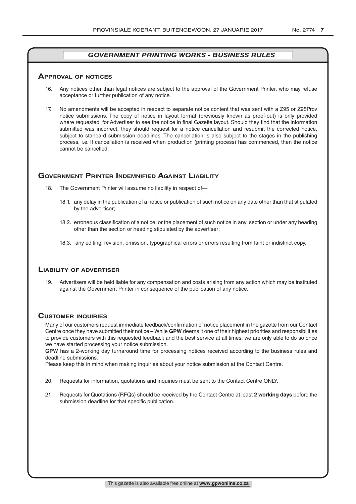#### **ApprovAl of noTiCes**

- 16. Any notices other than legal notices are subject to the approval of the Government Printer, who may refuse acceptance or further publication of any notice.
- 17. No amendments will be accepted in respect to separate notice content that was sent with a Z95 or Z95Prov notice submissions. The copy of notice in layout format (previously known as proof-out) is only provided where requested, for Advertiser to see the notice in final Gazette layout. Should they find that the information submitted was incorrect, they should request for a notice cancellation and resubmit the corrected notice, subject to standard submission deadlines. The cancellation is also subject to the stages in the publishing process, i.e. If cancellation is received when production (printing process) has commenced, then the notice cannot be cancelled.

# **GOVERNMENT PRINTER INDEMNIFIED AGAINST LIABILITY**

- 18. The Government Printer will assume no liability in respect of-
	- 18.1. any delay in the publication of a notice or publication of such notice on any date other than that stipulated by the advertiser;
	- 18.2. erroneous classification of a notice, or the placement of such notice in any section or under any heading other than the section or heading stipulated by the advertiser;
	- 18.3. any editing, revision, omission, typographical errors or errors resulting from faint or indistinct copy.

# **liAbiliTy of ADverTiser**

19. Advertisers will be held liable for any compensation and costs arising from any action which may be instituted against the Government Printer in consequence of the publication of any notice.

# **CusTomer inquiries**

Many of our customers request immediate feedback/confirmation of notice placement in the gazette from our Contact Centre once they have submitted their notice – While **GPW** deems it one of their highest priorities and responsibilities to provide customers with this requested feedback and the best service at all times, we are only able to do so once we have started processing your notice submission.

**GPW** has a 2-working day turnaround time for processing notices received according to the business rules and deadline submissions.

Please keep this in mind when making inquiries about your notice submission at the Contact Centre.

- 20. Requests for information, quotations and inquiries must be sent to the Contact Centre ONLY.
- 21. Requests for Quotations (RFQs) should be received by the Contact Centre at least **2 working days** before the submission deadline for that specific publication.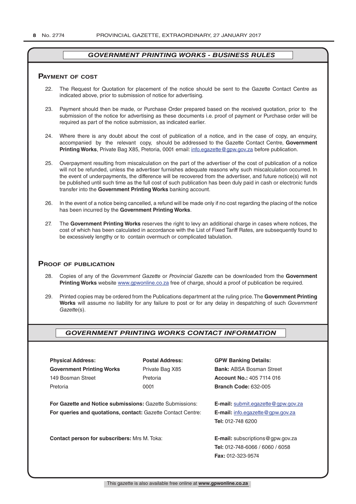#### **pAymenT of CosT**

- 22. The Request for Quotation for placement of the notice should be sent to the Gazette Contact Centre as indicated above, prior to submission of notice for advertising.
- 23. Payment should then be made, or Purchase Order prepared based on the received quotation, prior to the submission of the notice for advertising as these documents i.e. proof of payment or Purchase order will be required as part of the notice submission, as indicated earlier.
- 24. Where there is any doubt about the cost of publication of a notice, and in the case of copy, an enquiry, accompanied by the relevant copy, should be addressed to the Gazette Contact Centre, **Government Printing Works**, Private Bag X85, Pretoria, 0001 email: info.egazette@gpw.gov.za before publication.
- 25. Overpayment resulting from miscalculation on the part of the advertiser of the cost of publication of a notice will not be refunded, unless the advertiser furnishes adequate reasons why such miscalculation occurred. In the event of underpayments, the difference will be recovered from the advertiser, and future notice(s) will not be published until such time as the full cost of such publication has been duly paid in cash or electronic funds transfer into the **Government Printing Works** banking account.
- 26. In the event of a notice being cancelled, a refund will be made only if no cost regarding the placing of the notice has been incurred by the **Government Printing Works**.
- 27. The **Government Printing Works** reserves the right to levy an additional charge in cases where notices, the cost of which has been calculated in accordance with the List of Fixed Tariff Rates, are subsequently found to be excessively lengthy or to contain overmuch or complicated tabulation.

#### **proof of publiCATion**

- 28. Copies of any of the *Government Gazette* or *Provincial Gazette* can be downloaded from the **Government Printing Works** website www.gpwonline.co.za free of charge, should a proof of publication be required.
- 29. Printed copies may be ordered from the Publications department at the ruling price. The **Government Printing Works** will assume no liability for any failure to post or for any delay in despatching of such *Government Gazette*(s).

# *GOVERNMENT PRINTING WORKS CONTACT INFORMATION*

**Physical Address: Postal Address: GPW Banking Details: Government Printing Works** Private Bag X85 **Bank: ABSA Bosman Street** 149 Bosman Street Pretoria **Account No.:** 405 7114 016 Pretoria 0001 **Branch Code:** 632-005

**For Gazette and Notice submissions:** Gazette Submissions: **E-mail:** submit.egazette@gpw.gov.za **For queries and quotations, contact:** Gazette Contact Centre: **E-mail:** info.egazette@gpw.gov.za

**Contact person for subscribers:** Mrs M. Toka: **E-mail:** subscriptions@gpw.gov.za

**Tel:** 012-748 6200

**Tel:** 012-748-6066 / 6060 / 6058 **Fax:** 012-323-9574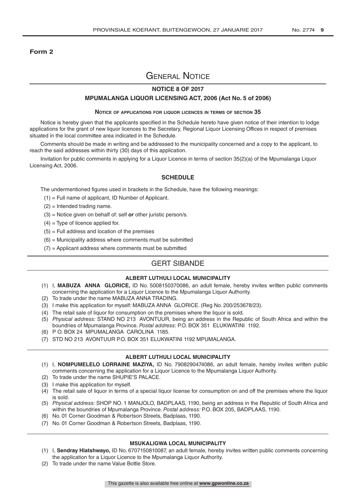#### **Form 2**

# General Notice

## **NOTICE 8 OF 2017**

#### **MPUMALANGA LIQUOR LICENSING ACT, 2006 (Act No. 5 of 2006)**

#### **Notice of applications for liquor licences in terms of section 35**

Notice is hereby given that the applicants specified in the Schedule hereto have given notice of their intention to lodge applications for the grant of new liquor licences to the Secretary, Regional Liquor Licensing Offices in respect of premises situated in the local committee area indicated in the Schedule.

Comments should be made in writing and be addressed to the municipality concerned and a copy to the applicant, to reach the said addresses within thirty (30) days of this application.

Invitation for public comments in applying for a Liquor Licence in terms of section 35(2)(a) of the Mpumalanga Liquor Licensing Act, 2006.

#### **SCHEDULE**

The undermentioned figures used in brackets in the Schedule, have the following meanings:

- (1) = Full name of applicant, ID Number of Applicant.
- (2) = Intended trading name.
- (3) = Notice given on behalf of: self *or* other juristic person/s.
- $(4)$  = Type of licence applied for.
- $(5)$  = Full address and location of the premises
- $(6)$  = Municipality address where comments must be submitted
- $(7)$  = Applicant address where comments must be submitted

# GERT SIBANDE

#### **ALBERT LUTHULI LOCAL MUNICIPALITY**

- (1) I, **MABUZA ANNA GLORICE,** ID No. 5008150370086, an adult female, hereby invites written public comments concerning the application for a Liquor Licence to the Mpumalanga Liquor Authority.
- (2) To trade under the name MABUZA ANNA TRADING.
- (3) I make this application for myself: MABUZA ANNA GLORICE. (Reg No. 200/253678/23).
- (4) The retail sale of liquor for consumption on the premises where the liquor is sold.
- (5) *Physical address:* STAND NO 213 AVONTUUR, being an address in the Republic of South Africa and within the boundries of Mpumalanga Province. *Postal address:* P.O. BOX 351 ELUKWATINI 1192.
- (6) P O. BOX 24 MPUMALANGA CAROLINA 1185.
- (7) STD NO 213 AVONTUUR P.O. BOX 351 ELUKWATINI 1192 MPUMALANGA.

#### **ALBERT LUTHULI LOCAL MUNICIPALITY**

- (1) I, **NOMPUMELELO LORRAINE MAZIYA,** ID No. 7908290474086, an adult female, hereby invites written public comments concerning the application for a Liquor Licence to the Mpumalanga Liquor Authority.
- (2) To trade under the name SHUPIE'S PALACE.
- (3) I make this application for myself.
- (4) The retail sale of liquor in terms of a special liquor license for consumption on and off the premises where the liquor is sold.
- (5) *Physical address:* SHOP NO. 1 MANJOLO, BADPLAAS, 1190, being an address in the Republic of South Africa and within the boundries of Mpumalanga Province. *Postal address:* P.O. BOX 205, BADPLAAS, 1190.
- (6) No. 01 Corner Goodman & Robertson Streets, Badplaas, 1190.
- (7) No. 01 Corner Goodman & Robertson Streets, Badplaas, 1190.

#### **MSUKALIGWA LOCAL MUNICIPALITY**

- (1) I, **Sendray Hlatshwayo,** ID No. 6707150810087, an adult female, hereby invites written public comments concerning the application for a Liquor Licence to the Mpumalanga Liquor Authority.
- (2) To trade under the name Value Bottle Store.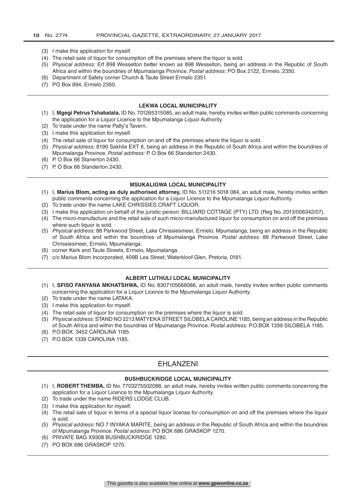- (3) I make this application for myself.
- (4) The retail sale of liquor for consumption off the premises where the liquor is sold.
- (5) *Physical address:* Erf 898 Wesselton better known as 898 Wesselton, being an address in the Republic of South Africa and within the boundries of Mpumalanga Province. *Postal address:* PO Box 2122, Ermelo, 2350.
- (6) Department of Safety corner Church & Taute Street Ermelo 2351.
- (7) PO Box 894, Ermelo 2350.

#### **LEKWA LOCAL MUNICIPALITY**

- (1) I, **Mgegi Petrus Tshabalala,** ID No. 701265315085, an adult male, hereby invites written public comments concerning the application for a Liquor Licence to the Mpumalanga Liquor Authority.
- (2) To trade under the name Patty's Tavern.
- (3) I make this application for myself.
- (4) The retail sale of liquor for consumption on and off the premises where the liquor is sold.
- (5) *Physical address:* 8190 Sakhile EXT 6, being an address in the Republic of South Africa and within the boundries of Mpumalanga Province. *Postal address:* P. O Box 66 Standerton 2430.
- (6) P. O Box 66 Stanerton 2430.
- (7) P. O Box 66 Standerton 2430.

#### **MSUKALIGWA LOCAL MUNICIPALITY**

- (1) I, **Marius Blom, acting as duly authorised attorney,** ID No. 511216 5018 084, an adult male, hereby invites written public comments concerning the application for a Liquor Licence to the Mpumalanga Liquor Authority.
- (2) To trade under the name LAKE CHRISSIES CRAFT LIQUOR.
- (3) I make this application on behalf of the juristic person: BILLIARD COTTAGE (PTY) LTD. (Reg No. 2013/006342/07).
- (4) The micro-manufacture and the retail sale of such micro-manufactured liquor for consumption on and off the premises where such liquor is sold.
- (5) *Physical address:* 88 Parkwood Street, Lake Chrissiesmeer, Ermelo, Mpumalanga, being an address in the Republic of South Africa and within the boundries of Mpumalanga Province. *Postal address:* 88 Parkwood Street, Lake Chrissiesmeer, Ermelo, Mpumalanga.
- (6) corner Kerk and Taute Streets, Ermelo, Mpumalanga.
- (7) c/o Marius Blom Incorporated, 409B Lea Street, Waterkloof Glen, Pretoria, 0181.

#### **ALBERT LUTHULI LOCAL MUNICIPALITY**

- (1) I, **SFISO FANYANA MKHATSHWA,** ID No. 8307105666086, an adult male, hereby invites written public comments concerning the application for a Liquor Licence to the Mpumalanga Liquor Authority.
- (2) To trade under the name LATAKA.
- (3) I make this application for myself.
- (4) The retail sale of liquor for consumption on the premises where the liquor is sold.
- (5) *Physical address:* STAND NO 2213 MATYEKA STREET SILOBELA CAROLINE 1185, being an address in the Republic of South Africa and within the boundries of Mpumalanga Province. *Postal address:* P.O.BOX 1339 SILOBELA 1185.
- (6) P.O.BOX. 3452 CAROLINA 1185.
- (7) P.O.BOX 1339 CAROLINA 1185.

# EHLANZENI

#### **BUSHBUCKRIDGE LOCAL MUNICIPALITY**

- (1) I, **ROBERT THEMBA,** ID No. 7703275502088, an adult male, hereby invites written public comments concerning the application for a Liquor Licence to the Mpumalanga Liquor Authority.
- (2) To trade under the name RIDERS LODGE CLUB.
- (3) I make this application for myself.
- (4) The retail sale of liquor in terms of a special liquor license for consumption on and off the premises where the liquor is sold.
- (5) *Physical address:* NO 7 INYAKA MARITE, being an address in the Republic of South Africa and within the boundries of Mpumalanga Province. *Postal address:* PO BOX 686 GRASKOP 1270.
- (6) PRIVATE BAG X9308 BUSHBUCKRIDGE 1280.
- (7) PO BOX 686 GRASKOP 1270.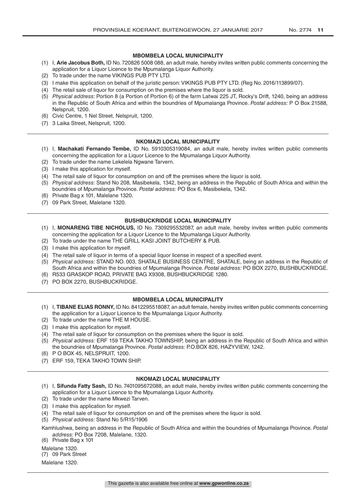#### **MBOMBELA LOCAL MUNICIPALITY**

- (1) I, **Arie Jacobus Both,** ID No. 720826 5008 088, an adult male, hereby invites written public comments concerning the application for a Liquor Licence to the Mpumalanga Liquor Authority.
- (2) To trade under the name VIKINGS PUB PTY LTD.
- (3) I make this application on behalf of the juristic person: VIKINGS PUB PTY LTD. (Reg No. 2016/113899/07).
- (4) The retail sale of liquor for consumption on the premises where the liquor is sold.
- (5) *Physical address:* Portion 8 (a Portion of Portion 6) of the farm Latwai 225 JT, Rocky's Drift, 1240, being an address in the Republic of South Africa and within the boundries of Mpumalanga Province. *Postal address:* P O Box 21588, Nelspruit, 1200.
- (6) Civic Centre, 1 Nel Street, Nelspruit, 1200.
- (7) 3 Laika Street, Nelspruit, 1200.

#### **NKOMAZI LOCAL MUNICIPALITY**

- (1) I, **Machakati Fernando Tembe,** ID No. 5910305319084, an adult male, hereby invites written public comments concerning the application for a Liquor Licence to the Mpumalanga Liquor Authority.
- (2) To trade under the name Lekelela Ngwane Tarvern.
- (3) I make this application for myself.
- (4) The retail sale of liquor for consumption on and off the premises where the liquor is sold.
- (5) *Physical address:* Stand No 208, Masibekela, 1342, being an address in the Republic of South Africa and within the boundries of Mpumalanga Province. *Postal address:* PO Box 6, Masibekela, 1342.
- (6) Private Bag x 101, Malelane 1320.
- (7) 09 Park Street, Malelane 1320.

#### **BUSHBUCKRIDGE LOCAL MUNICIPALITY**

- (1) I, **MONARENG TIBE NICHOLUS,** ID No. 7309295532087, an adult male, hereby invites written public comments concerning the application for a Liquor Licence to the Mpumalanga Liquor Authority.
- (2) To trade under the name THE GRILL KASI JOINT BUTCHERY & PUB.
- (3) I make this application for myself.
- (4) The retail sale of liquor in terms of a special liquor license in respect of a specified event.
- (5) *Physical address:* STAND NO. 003, SHATALE BUSINESS CENTRE, SHATALE, being an address in the Republic of South Africa and within the boundries of Mpumalanga Province. *Postal address:* PO BOX 2270, BUSHBUCKRIDGE.
- (6) R533 GRASKOP ROAD, PRIVATE BAG X9308, BUSHBUCKRIDGE 1280.
- (7) PO BOX 2270, BUSHBUCKRIDGE.

#### **MBOMBELA LOCAL MUNICIPALITY**

- (1) I, **TIBANE ELIAS RONNY,** ID No. 8412295518087, an adult female, hereby invites written public comments concerning the application for a Liquor Licence to the Mpumalanga Liquor Authority.
- (2) To trade under the name THE M HOUSE.
- (3) I make this application for myself.
- (4) The retail sale of liquor for consumption on the premises where the liquor is sold.
- (5) *Physical address:* ERF 159 TEKA TAKHO TOWNSHIP, being an address in the Republic of South Africa and within the boundries of Mpumalanga Province. *Postal address:* P.O.BOX 826, HAZYVIEW, 1242.
- (6) P O BOX 45, NELSPRUIT, 1200.
- (7) ERF 159, TEKA TAKHO TOWN SHIP.

#### **NKOMAZI LOCAL MUNICIPALITY**

- (1) I, **Sifunda Fatty Sash,** ID No. 7401095672088, an adult male, hereby invites written public comments concerning the application for a Liquor Licence to the Mpumalanga Liquor Authority.
- (2) To trade under the name Mkwezi Tarven.
- (3) I make this application for myself.
- (4) The retail sale of liquor for consumption on and off the premises where the liquor is sold.
- (5) *Physical address:* Stand No 5/R15/1906
- Kamhlushwa, being an address in the Republic of South Africa and within the boundries of Mpumalanga Province. *Postal address:* PO Box 7208, Malelane, 1320.
- (6) Private Bag x 101
- Malelane 1320. (7) 09 Park Street

Malelane 1320.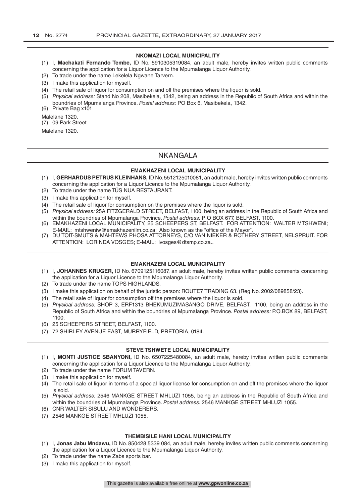#### **NKOMAZI LOCAL MUNICIPALITY**

- (1) I, **Machakati Fernando Tembe,** ID No. 5910305319084, an adult male, hereby invites written public comments concerning the application for a Liquor Licence to the Mpumalanga Liquor Authority.
- (2) To trade under the name Lekelela Ngwane Tarvern.
- (3) I make this application for myself.
- (4) The retail sale of liquor for consumption on and off the premises where the liquor is sold.
- (5) *Physical address:* Stand No 208, Masibekela, 1342, being an address in the Republic of South Africa and within the boundries of Mpumalanga Province. *Postal address:* PO Box 6, Masibekela, 1342.

(6) Private Bag x101

Malelane 1320.

(7) 09 Park Street

Malelane 1320.

# NKANGALA

#### **EMAKHAZENI LOCAL MUNICIPALITY**

- (1) I, **GERHARDUS PETRUS KLEINHANS,** ID No. 5512125010081, an adult male, hereby invites written public comments concerning the application for a Liquor Licence to the Mpumalanga Liquor Authority.
- (2) To trade under the name TÚS NUA RESTAURANT.
- (3) I make this application for myself.
- (4) The retail sale of liquor for consumption on the premises where the liquor is sold.
- (5) *Physical address:* 25A FITZGERALD STREET, BELFAST, 1100, being an address in the Republic of South Africa and within the boundries of Mpumalanga Province. *Postal address:* P O BOX 677, BELFAST, 1100.
- (6) EMAKHAZENI LOCAL MUNICIPALITY, 25 SCHEEPERS ST, BELFAST. FOR ATTENTION: WALTER MTSHWENI; E-MAIL: mtshweniw@emakhazenilm.co.za; Also known as the "office of the Mayor".
- (7) DU TOIT-SMUTS & MAHTEWS PHOSA ATTORNEYS, C/O VAN NIEKER & ROTHERY STREET, NELSPRUIT. FOR ATTENTION: LORINDA VOSGES; E-MAIL: lvosges@dtsmp.co.za..

#### **EMAKHAZENI LOCAL MUNICIPALITY**

- (1) I, **JOHANNES KRUGER,** ID No. 6709125116087, an adult male, hereby invites written public comments concerning the application for a Liquor Licence to the Mpumalanga Liquor Authority.
- (2) To trade under the name TOPS HIGHLANDS.
- (3) I make this application on behalf of the juristic person: ROUTE7 TRADING 63. (Reg No. 2002/089858/23).
- (4) The retail sale of liquor for consumption off the premises where the liquor is sold.
- (5) *Physical address:* SHOP 3, ERF1313 BHEKUMUZIMASANGO DRIVE, BELFAST, 1100, being an address in the Republic of South Africa and within the boundries of Mpumalanga Province. *Postal address:* P.O.BOX 89, BELFAST, 1100.
- (6) 25 SCHEEPERS STREET, BELFAST, 1100.
- (7) 72 SHIRLEY AVENUE EAST, MURRYFIELD, PRETORIA, 0184.

#### **STEVE TSHWETE LOCAL MUNICIPALITY**

- (1) I, **MONTI JUSTICE SBANYONI,** ID No. 6507225480084, an adult male, hereby invites written public comments concerning the application for a Liquor Licence to the Mpumalanga Liquor Authority.
- (2) To trade under the name FORUM TAVERN.
- (3) I make this application for myself.
- (4) The retail sale of liquor in terms of a special liquor license for consumption on and off the premises where the liquor is sold.
- (5) *Physical address:* 2546 MANKGE STREET MHLUZI 1055, being an address in the Republic of South Africa and within the boundries of Mpumalanga Province. *Postal address:* 2546 MANKGE STREET MHLUZI 1055.
- (6) CNR WALTER SISULU AND WONDERERS.
- (7) 2546 MANKGE STREET MHLUZI 1055.

#### **THEMBISILE HANI LOCAL MUNICIPALITY**

- (1) I, **Jonas Jabu Mndawu,** ID No. 850428 5339 084, an adult male, hereby invites written public comments concerning the application for a Liquor Licence to the Mpumalanga Liquor Authority.
- (2) To trade under the name Zabs sports bar.
- (3) I make this application for myself.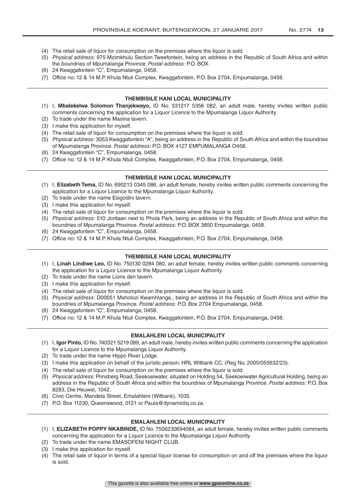- (4) The retail sale of liquor for consumption on the premises where the liquor is sold.
- (5) *Physical address:* 975 Mzimkhulu Section Tweefontein, being an address in the Republic of South Africa and within the boundries of Mpumalanga Province. *Postal address:* P.O. BOX.
- (6) 24 Kwaggafontein "C", Empumalanga, 0458.
- (7) Office no: 12 & 14 M.P. Khula Ntuli Complex, Kwaggafontein, P.O. Box 2704, Empumalanga, 0458.

#### **THEMBISILE HANI LOCAL MUNICIPALITY**

- (1) I, **Mbalekelwa Solomon Thanjekwayo,** ID No. 531217 5356 082, an adult male, hereby invites written public comments concerning the application for a Liquor Licence to the Mpumalanga Liquor Authority.
- (2) To trade under the name Masina tavern.
- (3) I make this application for myself.
- (4) The retail sale of liquor for consumption on the premises where the liquor is sold.
- (5) *Physical address:* 3053 Kwaggafontein "A", being an address in the Republic of South Africa and within the boundries of Mpumalanga Province. *Postal address:* P.O. BOX 4127 EMPUMALANGA O458.
- (6) 24 Kwaggafontein "C", Empumalanga, 0458.
- (7) Office no: 12 & 14 M.P. Khula Ntuli Complex, Kwaggafontein, P.O. Box 2704, Empumalanga, 0458.

#### **THEMBISILE HANI LOCAL MUNICIPALITY**

- (1) I, **Elizabeth Tema,** ID No. 690213 0345 086, an adult female, hereby invites written public comments concerning the application for a Liquor Licence to the Mpumalanga Liquor Authority.
- (2) To trade under the name Esigodini tavern.
- (3) I make this application for myself.
- (4) The retail sale of liquor for consumption on the premises where the liquor is sold.
- (5) *Physical address:* 510 Jordaan next to Phola Park, being an address in the Republic of South Africa and within the boundries of Mpumalanga Province. *Postal address:* P.O. BOX 3850 Empumalanga, 0458.
- (6) 24 Kwaggafontein "C", Empumalanga, 0458.
- (7) Office no: 12 & 14 M.P. Khula Ntuli Complex, Kwaggafontein, P.O. Box 2704, Empumalanga, 0458.

#### **THEMBISILE HANI LOCAL MUNICIPALITY**

- (1) I, **Linah Lindiwe Leo,** ID No. 750130 0284 080, an adult female, hereby invites written public comments concerning the application for a Liquor Licence to the Mpumalanga Liquor Authority.
- (2) To trade under the name Lions den tavern.
- (3) I make this application for myself.
- (4) The retail sale of liquor for consumption on the premises where the liquor is sold.
- (5) *Physical address:* D00051 Msholozi Kwamhlanga., being an address in the Republic of South Africa and within the boundries of Mpumalanga Province. *Postal address:* P.O. Box 2704 Empumalanga, 0458.
- (6) 24 Kwaggafontein "C", Empumalanga, 0458.
- (7) Office no: 12 & 14 M.P. Khula Ntuli Complex, Kwaggafontein, P.O. Box 2704, Empumalanga, 0458.

#### **EMALAHLENI LOCAL MUNICIPALITY**

- (1) I, **Igor Pinto,** ID No. 740321 5219 089, an adult male, hereby invites written public comments concerning the application for a Liquor Licence to the Mpumalanga Liquor Authority.
- (2) To trade under the name Hippo River Lodge.
- (3) I make this application on behalf of the juristic person: HRL Witbank CC. (Reg No. 2005/055632/23).
- (4) The retail sale of liquor for consumption on the premises where the liquor is sold.
- (5) *Physical address:* Prinsberg Road, Seekoeiwater, situated on Holding 54, Seekoeiwater Agricultural Holding, being an address in the Republic of South Africa and within the boundries of Mpumalanga Province. *Postal address:* P.O. Box 8283, Die Heuwel, 1042.
- (6) Civic Centre, Mandela Street, Emalahleni (Witbank), 1035.
- (7) P.O. Box 11230, Queenswood, 0121 or Paula@dynamicliq.co.za.

#### **EMALAHLENI LOCAL MUNICIPALITY**

- (1) I, **ELIZABETH POPPY NKABINDE,** ID No. 7506230694084, an adult female, hereby invites written public comments concerning the application for a Liquor Licence to the Mpumalanga Liquor Authority.
- (2) To trade under the name EMASOFENI NIGHT CLUB.
- (3) I make this application for myself.
- (4) The retail sale of liquor in terms of a special liquor license for consumption on and off the premises where the liquor is sold.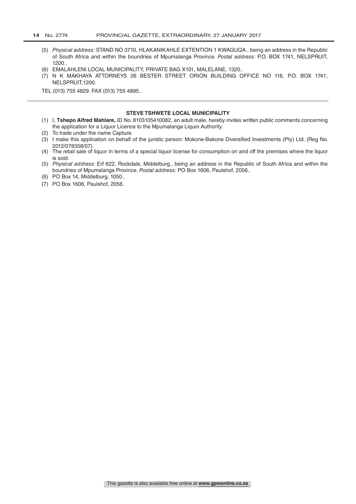- (5) *Physical address:* STAND NO 3710, HLAKANIKAHLE EXTENTION 1 KWAGUQA., being an address in the Republic of South Africa and within the boundries of Mpumalanga Province. *Postal address:* P.O. BOX 1741, NELSPRUIT, 1200..
- (6) EMALAHLENI LOCAL MUNICIPALITY, PRIVATE BAG X101, MALELANE, 1320..
- (7) N K MAKHAYA ATTORNEYS 26 BESTER STREET ORION BUILDING OFFICE NO 116, P.O. BOX 1741, NELSPRUIT,1200.

TEL (013) 755 4829. FAX (013) 755 4895..

#### **STEVE TSHWETE LOCAL MUNICIPALITY**

- (1) I, **Tshepo Alfred Mahlare,** ID No. 8103105410082, an adult male, hereby invites written public comments concerning the application for a Liquor Licence to the Mpumalanga Liquor Authority.
- (2) To trade under the name Capture.
- (3) I make this application on behalf of the juristic person: Mokone-Bakone Diversified Investments (Pty) Ltd. (Reg No. 2012/078358/07).
- (4) The retail sale of liquor in terms of a special liquor license for consumption on and off the premises where the liquor is sold.
- (5) *Physical address:* Erf 622, Rockdale, Middelburg., being an address in the Republic of South Africa and within the boundries of Mpumalanga Province. *Postal address:* PO Box 1606, Paulshof, 2056..
- (6) PO Box 14, Middelburg, 1050..
- (7) PO Box 1606, Paulshof, 2056.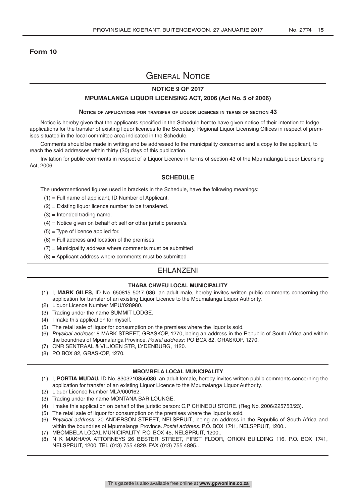#### **Form 10**

# General Notice

## **NOTICE 9 OF 2017**

#### **MPUMALANGA LIQUOR LICENSING ACT, 2006 (Act No. 5 of 2006)**

#### **Notice of applications for transfer of liquor licences in terms of section 43**

Notice is hereby given that the applicants specified in the Schedule hereto have given notice of their intention to lodge applications for the transfer of existing liquor licences to the Secretary, Regional Liquor Licensing Offices in respect of premises situated in the local committee area indicated in the Schedule.

Comments should be made in writing and be addressed to the municipality concerned and a copy to the applicant, to reach the said addresses within thirty (30) days of this publication.

Invitation for public comments in respect of a Liquor Licence in terms of section 43 of the Mpumalanga Liquor Licensing Act, 2006.

#### **SCHEDULE**

The undermentioned figures used in brackets in the Schedule, have the following meanings:

- (1) = Full name of applicant, ID Number of Applicant.
- (2) = Existing liquor licence number to be transfered.
- $(3)$  = Intended trading name.
- (4) = Notice given on behalf of: self *or* other juristic person/s.
- $(5)$  = Type of licence applied for.
- $(6)$  = Full address and location of the premises
- $(7)$  = Municipality address where comments must be submitted
- $(8)$  = Applicant address where comments must be submitted

### EHLANZENI

#### **THABA CHWEU LOCAL MUNICIPALITY**

- (1) I, **MARK GILES,** ID No. 650815 5017 086, an adult male, hereby invites written public comments concerning the application for transfer of an existing Liquor Licence to the Mpumalanga Liquor Authority.
- (2) Liquor Licence Number MPU/028980.
- (3) Trading under the name SUMMIT LODGE.
- (4) I make this application for myself.
- (5) The retail sale of liquor for consumption on the premises where the liquor is sold.
- (6) *Physical address:* 8 MARK STREET, GRASKOP, 1270, being an address in the Republic of South Africa and within the boundries of Mpumalanga Province. *Postal address:* PO BOX 82, GRASKOP, 1270.
- (7) CNR SENTRAAL & VILJOEN STR, LYDENBURG, 1120.
- (8) PO BOX 82, GRASKOP, 1270.

#### **MBOMBELA LOCAL MUNICIPALITY**

- (1) I, **PORTIA MUDAU,** ID No. 8303210855086, an adult female, hereby invites written public comments concerning the application for transfer of an existing Liquor Licence to the Mpumalanga Liquor Authority.
- (2) Liquor Licence Number MLA/000162.
- (3) Trading under the name MONTANA BAR LOUNGE.
- (4) I make this application on behalf of the juristic person: C.P CHINEDU STORE. (Reg No. 2006/225753/23).
- (5) The retail sale of liquor for consumption on the premises where the liquor is sold.
- (6) *Physical address:* 20 ANDERSON STREET, NELSPRUIT., being an address in the Republic of South Africa and within the boundries of Mpumalanga Province. *Postal address:* P.O. BOX 1741, NELSPRUIT, 1200..
- (7) MBOMBELA LOCAL MUNICIPALITY, P.O. BOX 45, NELSPRUIT, 1200..
- (8) N K MAKHAYA ATTORNEYS 26 BESTER STREET, FIRST FLOOR, ORION BUILDING 116, P.O. BOX 1741, NELSPRUIT, 1200. TEL (013) 755 4829. FAX (013) 755 4895..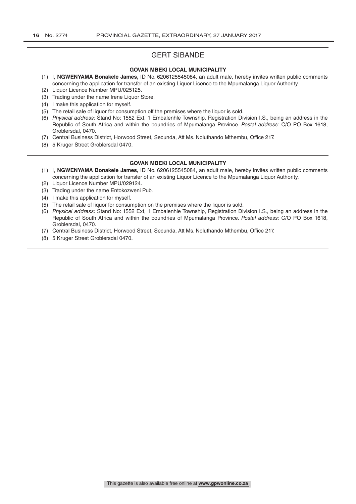# GERT SIBANDE

#### **GOVAN MBEKI LOCAL MUNICIPALITY**

- (1) I, **NGWENYAMA Bonakele James,** ID No. 6206125545084, an adult male, hereby invites written public comments concerning the application for transfer of an existing Liquor Licence to the Mpumalanga Liquor Authority.
- (2) Liquor Licence Number MPU/025125.
- (3) Trading under the name Irene Liquor Store.
- (4) I make this application for myself.
- (5) The retail sale of liquor for consumption off the premises where the liquor is sold.
- (6) *Physical address:* Stand No: 1552 Ext, 1 Embalenhle Township, Registration Division I.S., being an address in the Republic of South Africa and within the boundries of Mpumalanga Province. *Postal address:* C/O PO Box 1618, Groblersdal, 0470.
- (7) Central Business District, Horwood Street, Secunda, Att Ms. Noluthando Mthembu, Office 217.
- (8) 5 Kruger Street Groblersdal 0470.

#### **GOVAN MBEKI LOCAL MUNICIPALITY**

- (1) I, **NGWENYAMA Bonakele James,** ID No. 6206125545084, an adult male, hereby invites written public comments concerning the application for transfer of an existing Liquor Licence to the Mpumalanga Liquor Authority.
- (2) Liquor Licence Number MPU/029124.
- (3) Trading under the name Entokozweni Pub.
- (4) I make this application for myself.
- (5) The retail sale of liquor for consumption on the premises where the liquor is sold.
- (6) *Physical address:* Stand No: 1552 Ext, 1 Embalenhle Township, Registration Division I.S., being an address in the Republic of South Africa and within the boundries of Mpumalanga Province. *Postal address:* C/O PO Box 1618, Groblersdal, 0470.
- (7) Central Business District, Horwood Street, Secunda, Att Ms. Noluthando Mthembu, Office 217.
- (8) 5 Kruger Street Groblersdal 0470.